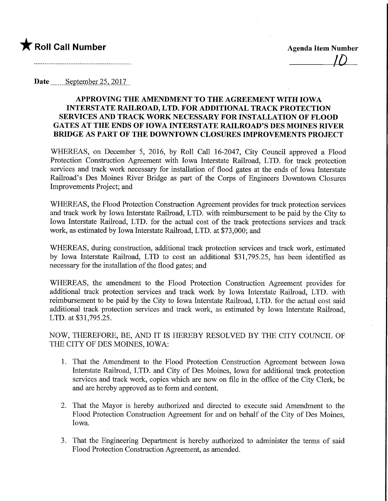

## Date September 25, 2017

## APPROVING THE AMENDMENT TO THE AGREEMENT WITH IOWA INTERSTATE RAILROAD, LTD. FOR ADDITIONAL TRACK PROTECTION SERVICES AND TRACK WORK NECESSARY FOR INSTALLATION OF FLOOD GATES AT THE ENDS OF IOWA INTERSTATE RAILROAD'S DES MOINES MVER BRIDGE AS PART OF THE DOWNTOWN CLOSURES IMPROVEMENTS PROJECT

WHEREAS, on December 5, 2016, by Roll Call 16-2047, City Council approved a Flood Protection Construction Agreement with Iowa Interstate Railroad, LTD. for track protection services and track work necessary for installation of flood gates at the ends of Iowa Interstate Railroad's Des Moines River Bridge as part of the Corps of Engineers Downtown Closures Improvements Project; and

WHEREAS, the Flood Protection Construction Agreement provides for track protection services and track work by Iowa Interstate Railroad, LTD. with reimbursement to be paid by the City to Iowa Interstate Railroad, LTD. for the actual cost of the track protections services and track work, as estimated by Iowa Interstate Railroad, LTD. at \$73,000; and

WHEREAS, during construction, additional track protection services and track work, estimated by Iowa Interstate Railroad, LTD to cost an additional \$31,795.25, has been identified as necessary for the installation of the flood gates; and

WHEREAS, the amendment to the Flood Protection Construction Agreement provides for additional track protection services and track work by Iowa Interstate Railroad, LTD. with reimbursement to be paid by the City to Iowa Interstate Railroad, LTD. for the actual cost said additional track protection services and track work, as estimated by Iowa Interstate Railroad, LTD. at \$31,795.25.

NOW, THEREFORE, BE, AND IT IS HEREBY RESOLVED BY, THE CITY COUNCIL OF THE CITY OF DES MOINES, IOWA:

- 1. That the Amendment to the Flood Protection Construction Agreement between Iowa Interstate Railroad, LTD. and City of Des Moines, Iowa for additional track protection services and track work, copies which are now on file in the office of the City Clerk, be and are hereby approved as to form and content.
- 2. That the Mayor is hereby authorized and directed to execute said Amendment to the Flood Protection Construction Agreement for and on behalf of the City of Des Moines, Iowa.
- 3. That the Engineering Department is hereby authorized to administer the terms of said Flood Protection Construction Agreement, as amended.